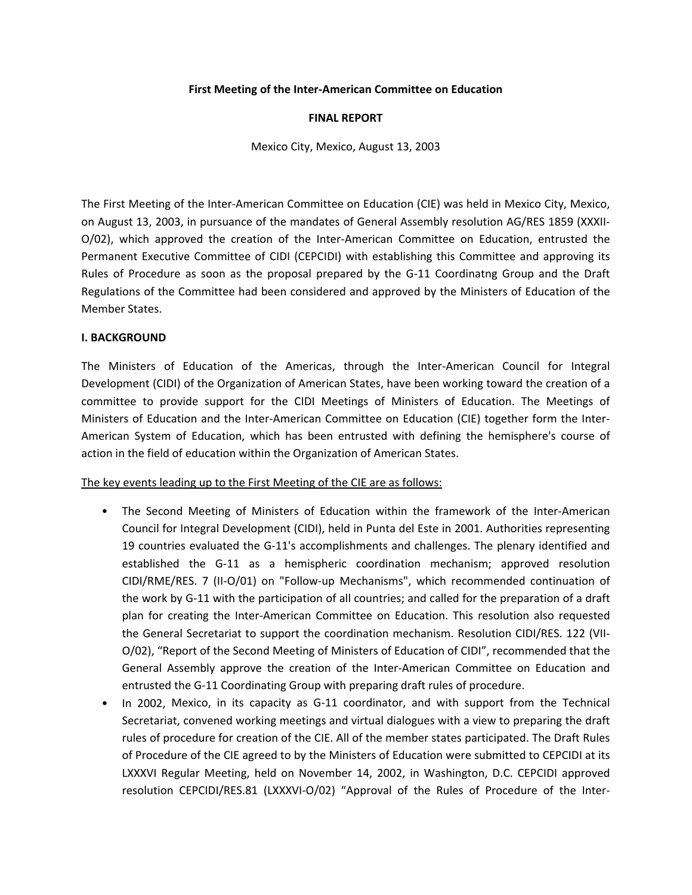### **First Meeting of the Inter‐American Committee on Education**

#### **FINAL REPORT**

Mexico City, Mexico, August 13, 2003

The First Meeting of the Inter‐American Committee on Education (CIE) was held in Mexico City, Mexico, on August 13, 2003, in pursuance of the mandates of General Assembly resolution AG/RES 1859 (XXXII‐ O/02), which approved the creation of the Inter-American Committee on Education, entrusted the Permanent Executive Committee of CIDI (CEPCIDI) with establishing this Committee and approving its Rules of Procedure as soon as the proposal prepared by the G-11 Coordinatng Group and the Draft Regulations of the Committee had been considered and approved by the Ministers of Education of the Member States.

#### **I. BACKGROUND**

The Ministers of Education of the Americas, through the Inter-American Council for Integral Development (CIDI) of the Organization of American States, have been working toward the creation of a committee to provide support for the CIDI Meetings of Ministers of Education. The Meetings of Ministers of Education and the Inter-American Committee on Education (CIE) together form the Inter-American System of Education, which has been entrusted with defining the hemisphere's course of action in the field of education within the Organization of American States.

The key events leading up to the First Meeting of the CIE are as follows:

- The Second Meeting of Ministers of Education within the framework of the Inter-American Council for Integral Development (CIDI), held in Punta del Este in 2001. Authorities representing 19 countries evaluated the G-11's accomplishments and challenges. The plenary identified and established the G‐11 as a hemispheric coordination mechanism; approved resolution CIDI/RME/RES. 7 (II‐O/01) on "Follow‐up Mechanisms", which recommended continuation of the work by G‐11 with the participation of all countries; and called for the preparation of a draft plan for creating the Inter‐American Committee on Education. This resolution also requested the General Secretariat to support the coordination mechanism. Resolution CIDI/RES. 122 (VII‐ O/02), "Report of the Second Meeting of Ministers of Education of CIDI", recommended that the General Assembly approve the creation of the Inter‐American Committee on Education and entrusted the G‐11 Coordinating Group with preparing draft rules of procedure.
- In 2002, Mexico, in its capacity as G-11 coordinator, and with support from the Technical Secretariat, convened working meetings and virtual dialogues with a view to preparing the draft rules of procedure for creation of the CIE. All of the member states participated. The Draft Rules of Procedure of the CIE agreed to by the Ministers of Education were submitted to CEPCIDI at its LXXXVI Regular Meeting, held on November 14, 2002, in Washington, D.C. CEPCIDI approved resolution CEPCIDI/RES.81 (LXXXVI-O/02) "Approval of the Rules of Procedure of the Inter-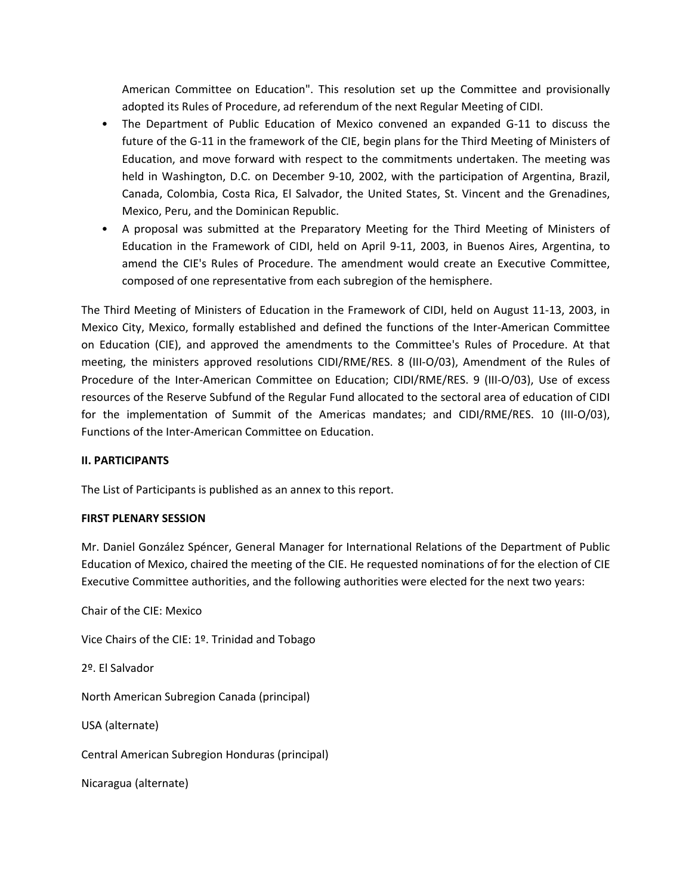American Committee on Education". This resolution set up the Committee and provisionally adopted its Rules of Procedure, ad referendum of the next Regular Meeting of CIDI.

- The Department of Public Education of Mexico convened an expanded G‐11 to discuss the future of the G‐11 in the framework of the CIE, begin plans for the Third Meeting of Ministers of Education, and move forward with respect to the commitments undertaken. The meeting was held in Washington, D.C. on December 9-10, 2002, with the participation of Argentina, Brazil, Canada, Colombia, Costa Rica, El Salvador, the United States, St. Vincent and the Grenadines, Mexico, Peru, and the Dominican Republic.
- A proposal was submitted at the Preparatory Meeting for the Third Meeting of Ministers of Education in the Framework of CIDI, held on April 9‐11, 2003, in Buenos Aires, Argentina, to amend the CIE's Rules of Procedure. The amendment would create an Executive Committee, composed of one representative from each subregion of the hemisphere.

The Third Meeting of Ministers of Education in the Framework of CIDI, held on August 11‐13, 2003, in Mexico City, Mexico, formally established and defined the functions of the Inter‐American Committee on Education (CIE), and approved the amendments to the Committee's Rules of Procedure. At that meeting, the ministers approved resolutions CIDI/RME/RES. 8 (III-O/03), Amendment of the Rules of Procedure of the Inter‐American Committee on Education; CIDI/RME/RES. 9 (III‐O/03), Use of excess resources of the Reserve Subfund of the Regular Fund allocated to the sectoral area of education of CIDI for the implementation of Summit of the Americas mandates; and CIDI/RME/RES. 10 (III‐O/03), Functions of the Inter‐American Committee on Education.

### **II. PARTICIPANTS**

The List of Participants is published as an annex to this report.

### **FIRST PLENARY SESSION**

Mr. Daniel González Spéncer, General Manager for International Relations of the Department of Public Education of Mexico, chaired the meeting of the CIE. He requested nominations of for the election of CIE Executive Committee authorities, and the following authorities were elected for the next two years:

Chair of the CIE: Mexico

Vice Chairs of the CIE: 1º. Trinidad and Tobago

2º. El Salvador

North American Subregion Canada (principal)

USA (alternate)

Central American Subregion Honduras (principal)

Nicaragua (alternate)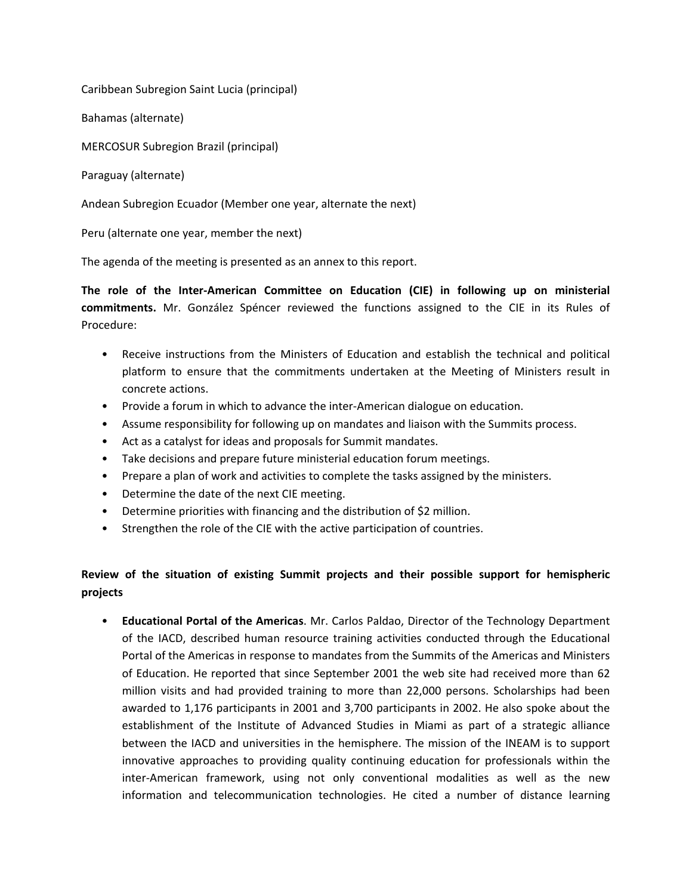Caribbean Subregion Saint Lucia (principal)

Bahamas (alternate)

MERCOSUR Subregion Brazil (principal)

Paraguay (alternate)

Andean Subregion Ecuador (Member one year, alternate the next)

Peru (alternate one year, member the next)

The agenda of the meeting is presented as an annex to this report.

**The role of the Inter‐American Committee on Education (CIE) in following up on ministerial commitments.** Mr. González Spéncer reviewed the functions assigned to the CIE in its Rules of Procedure:

- Receive instructions from the Ministers of Education and establish the technical and political platform to ensure that the commitments undertaken at the Meeting of Ministers result in concrete actions.
- Provide a forum in which to advance the inter-American dialogue on education.
- Assume responsibility for following up on mandates and liaison with the Summits process.
- Act as a catalyst for ideas and proposals for Summit mandates.
- Take decisions and prepare future ministerial education forum meetings.
- Prepare a plan of work and activities to complete the tasks assigned by the ministers.
- Determine the date of the next CIE meeting.
- Determine priorities with financing and the distribution of \$2 million.
- Strengthen the role of the CIE with the active participation of countries.

# **Review of the situation of existing Summit projects and their possible support for hemispheric projects**

• **Educational Portal of the Americas**. Mr. Carlos Paldao, Director of the Technology Department of the IACD, described human resource training activities conducted through the Educational Portal of the Americas in response to mandates from the Summits of the Americas and Ministers of Education. He reported that since September 2001 the web site had received more than 62 million visits and had provided training to more than 22,000 persons. Scholarships had been awarded to 1,176 participants in 2001 and 3,700 participants in 2002. He also spoke about the establishment of the Institute of Advanced Studies in Miami as part of a strategic alliance between the IACD and universities in the hemisphere. The mission of the INEAM is to support innovative approaches to providing quality continuing education for professionals within the inter-American framework, using not only conventional modalities as well as the new information and telecommunication technologies. He cited a number of distance learning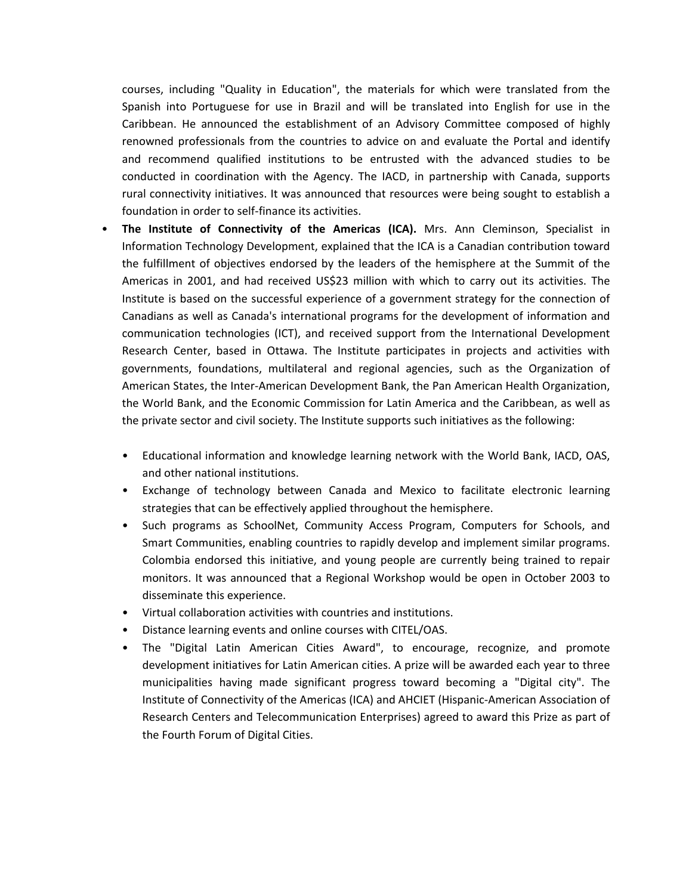courses, including "Quality in Education", the materials for which were translated from the Spanish into Portuguese for use in Brazil and will be translated into English for use in the Caribbean. He announced the establishment of an Advisory Committee composed of highly renowned professionals from the countries to advice on and evaluate the Portal and identify and recommend qualified institutions to be entrusted with the advanced studies to be conducted in coordination with the Agency. The IACD, in partnership with Canada, supports rural connectivity initiatives. It was announced that resources were being sought to establish a foundation in order to self‐finance its activities.

- **The Institute of Connectivity of the Americas (ICA).** Mrs. Ann Cleminson, Specialist in Information Technology Development, explained that the ICA is a Canadian contribution toward the fulfillment of objectives endorsed by the leaders of the hemisphere at the Summit of the Americas in 2001, and had received US\$23 million with which to carry out its activities. The Institute is based on the successful experience of a government strategy for the connection of Canadians as well as Canada's international programs for the development of information and communication technologies (ICT), and received support from the International Development Research Center, based in Ottawa. The Institute participates in projects and activities with governments, foundations, multilateral and regional agencies, such as the Organization of American States, the Inter‐American Development Bank, the Pan American Health Organization, the World Bank, and the Economic Commission for Latin America and the Caribbean, as well as the private sector and civil society. The Institute supports such initiatives as the following:
	- Educational information and knowledge learning network with the World Bank, IACD, OAS, and other national institutions.
	- Exchange of technology between Canada and Mexico to facilitate electronic learning strategies that can be effectively applied throughout the hemisphere.
	- Such programs as SchoolNet, Community Access Program, Computers for Schools, and Smart Communities, enabling countries to rapidly develop and implement similar programs. Colombia endorsed this initiative, and young people are currently being trained to repair monitors. It was announced that a Regional Workshop would be open in October 2003 to disseminate this experience.
	- Virtual collaboration activities with countries and institutions.
	- Distance learning events and online courses with CITEL/OAS.
	- The "Digital Latin American Cities Award", to encourage, recognize, and promote development initiatives for Latin American cities. A prize will be awarded each year to three municipalities having made significant progress toward becoming a "Digital city". The Institute of Connectivity of the Americas (ICA) and AHCIET (Hispanic‐American Association of Research Centers and Telecommunication Enterprises) agreed to award this Prize as part of the Fourth Forum of Digital Cities.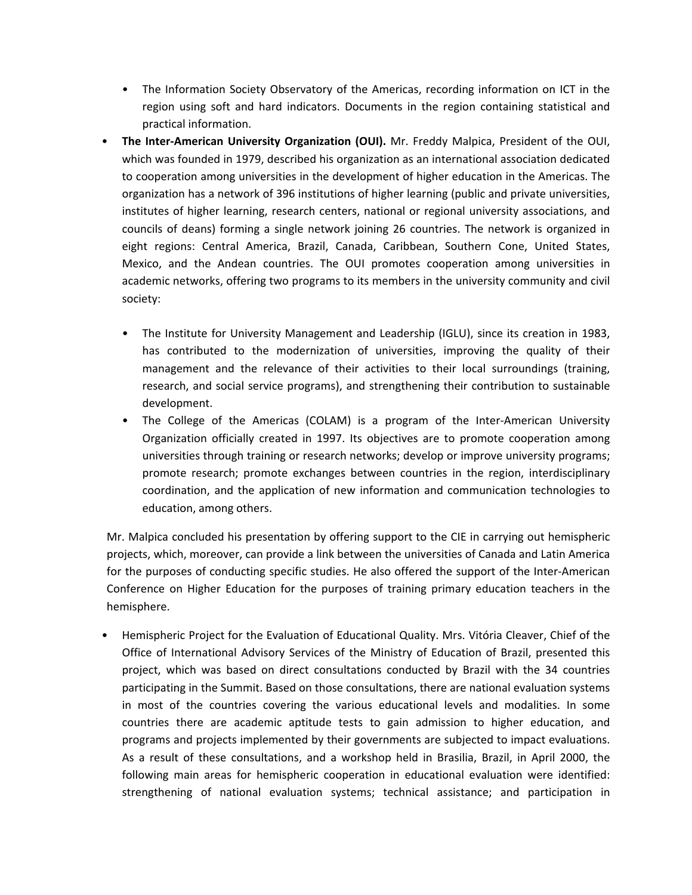- The Information Society Observatory of the Americas, recording information on ICT in the region using soft and hard indicators. Documents in the region containing statistical and practical information.
- **The Inter‐American University Organization (OUI).** Mr. Freddy Malpica, President of the OUI, which was founded in 1979, described his organization as an international association dedicated to cooperation among universities in the development of higher education in the Americas. The organization has a network of 396 institutions of higher learning (public and private universities, institutes of higher learning, research centers, national or regional university associations, and councils of deans) forming a single network joining 26 countries. The network is organized in eight regions: Central America, Brazil, Canada, Caribbean, Southern Cone, United States, Mexico, and the Andean countries. The OUI promotes cooperation among universities in academic networks, offering two programs to its members in the university community and civil society:
	- The Institute for University Management and Leadership (IGLU), since its creation in 1983, has contributed to the modernization of universities, improving the quality of their management and the relevance of their activities to their local surroundings (training, research, and social service programs), and strengthening their contribution to sustainable development.
	- The College of the Americas (COLAM) is a program of the Inter-American University Organization officially created in 1997. Its objectives are to promote cooperation among universities through training or research networks; develop or improve university programs; promote research; promote exchanges between countries in the region, interdisciplinary coordination, and the application of new information and communication technologies to education, among others.

Mr. Malpica concluded his presentation by offering support to the CIE in carrying out hemispheric projects, which, moreover, can provide a link between the universities of Canada and Latin America for the purposes of conducting specific studies. He also offered the support of the Inter-American Conference on Higher Education for the purposes of training primary education teachers in the hemisphere.

• Hemispheric Project for the Evaluation of Educational Quality. Mrs. Vitória Cleaver, Chief of the Office of International Advisory Services of the Ministry of Education of Brazil, presented this project, which was based on direct consultations conducted by Brazil with the 34 countries participating in the Summit. Based on those consultations, there are national evaluation systems in most of the countries covering the various educational levels and modalities. In some countries there are academic aptitude tests to gain admission to higher education, and programs and projects implemented by their governments are subjected to impact evaluations. As a result of these consultations, and a workshop held in Brasilia, Brazil, in April 2000, the following main areas for hemispheric cooperation in educational evaluation were identified: strengthening of national evaluation systems; technical assistance; and participation in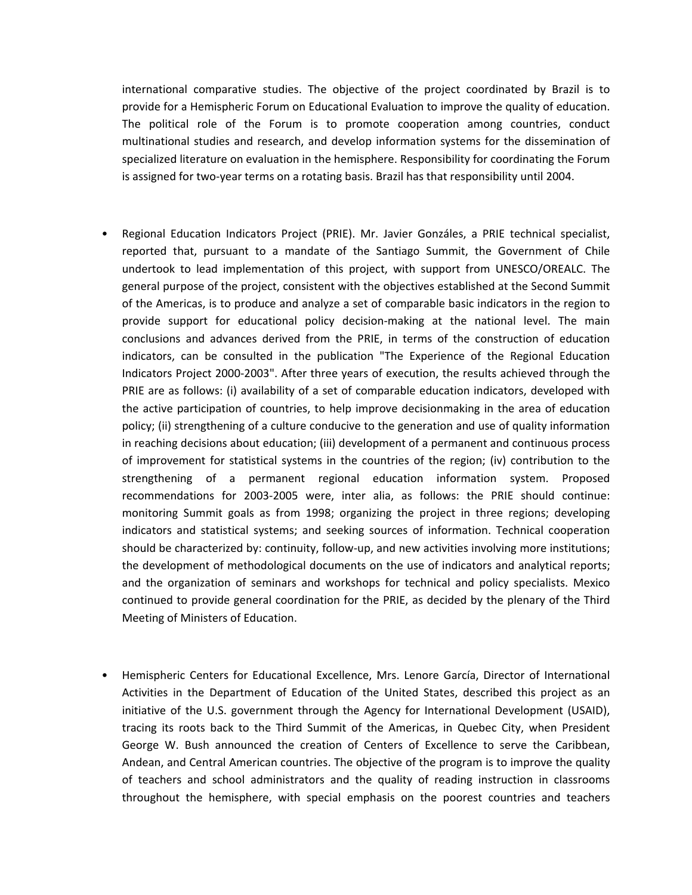international comparative studies. The objective of the project coordinated by Brazil is to provide for a Hemispheric Forum on Educational Evaluation to improve the quality of education. The political role of the Forum is to promote cooperation among countries, conduct multinational studies and research, and develop information systems for the dissemination of specialized literature on evaluation in the hemisphere. Responsibility for coordinating the Forum is assigned for two-year terms on a rotating basis. Brazil has that responsibility until 2004.

- Regional Education Indicators Project (PRIE). Mr. Javier Gonzáles, a PRIE technical specialist, reported that, pursuant to a mandate of the Santiago Summit, the Government of Chile undertook to lead implementation of this project, with support from UNESCO/OREALC. The general purpose of the project, consistent with the objectives established at the Second Summit of the Americas, is to produce and analyze a set of comparable basic indicators in the region to provide support for educational policy decision‐making at the national level. The main conclusions and advances derived from the PRIE, in terms of the construction of education indicators, can be consulted in the publication "The Experience of the Regional Education Indicators Project 2000‐2003". After three years of execution, the results achieved through the PRIE are as follows: (i) availability of a set of comparable education indicators, developed with the active participation of countries, to help improve decisionmaking in the area of education policy; (ii) strengthening of a culture conducive to the generation and use of quality information in reaching decisions about education; (iii) development of a permanent and continuous process of improvement for statistical systems in the countries of the region; (iv) contribution to the strengthening of a permanent regional education information system. Proposed recommendations for 2003‐2005 were, inter alia, as follows: the PRIE should continue: monitoring Summit goals as from 1998; organizing the project in three regions; developing indicators and statistical systems; and seeking sources of information. Technical cooperation should be characterized by: continuity, follow‐up, and new activities involving more institutions; the development of methodological documents on the use of indicators and analytical reports; and the organization of seminars and workshops for technical and policy specialists. Mexico continued to provide general coordination for the PRIE, as decided by the plenary of the Third Meeting of Ministers of Education.
- Hemispheric Centers for Educational Excellence, Mrs. Lenore García, Director of International Activities in the Department of Education of the United States, described this project as an initiative of the U.S. government through the Agency for International Development (USAID), tracing its roots back to the Third Summit of the Americas, in Quebec City, when President George W. Bush announced the creation of Centers of Excellence to serve the Caribbean, Andean, and Central American countries. The objective of the program is to improve the quality of teachers and school administrators and the quality of reading instruction in classrooms throughout the hemisphere, with special emphasis on the poorest countries and teachers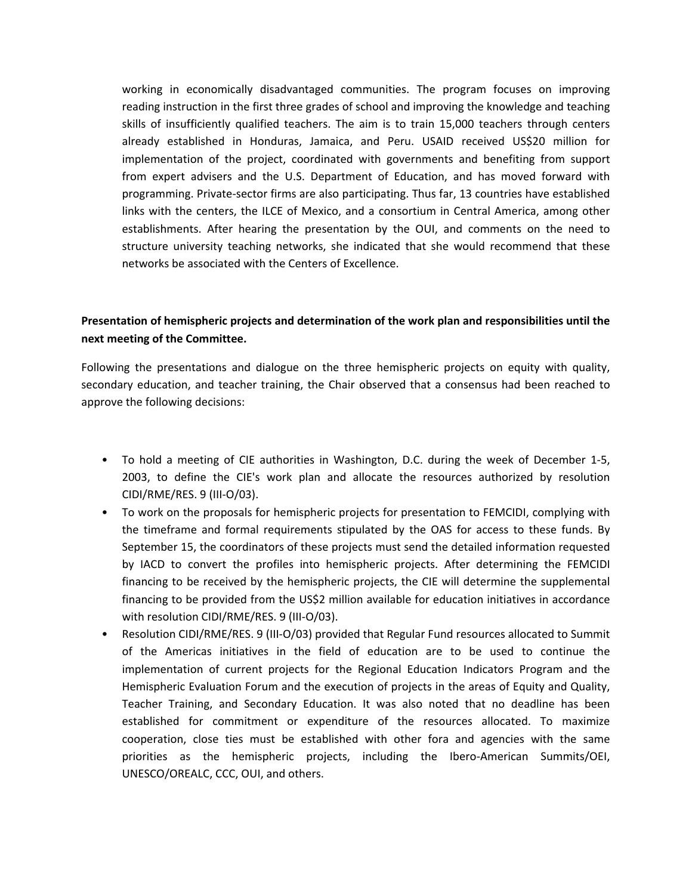working in economically disadvantaged communities. The program focuses on improving reading instruction in the first three grades of school and improving the knowledge and teaching skills of insufficiently qualified teachers. The aim is to train 15,000 teachers through centers already established in Honduras, Jamaica, and Peru. USAID received US\$20 million for implementation of the project, coordinated with governments and benefiting from support from expert advisers and the U.S. Department of Education, and has moved forward with programming. Private‐sector firms are also participating. Thus far, 13 countries have established links with the centers, the ILCE of Mexico, and a consortium in Central America, among other establishments. After hearing the presentation by the OUI, and comments on the need to structure university teaching networks, she indicated that she would recommend that these networks be associated with the Centers of Excellence.

# **Presentation of hemispheric projects and determination of the work plan and responsibilities until the next meeting of the Committee.**

Following the presentations and dialogue on the three hemispheric projects on equity with quality, secondary education, and teacher training, the Chair observed that a consensus had been reached to approve the following decisions:

- To hold a meeting of CIE authorities in Washington, D.C. during the week of December 1-5, 2003, to define the CIE's work plan and allocate the resources authorized by resolution CIDI/RME/RES. 9 (III‐O/03).
- To work on the proposals for hemispheric projects for presentation to FEMCIDI, complying with the timeframe and formal requirements stipulated by the OAS for access to these funds. By September 15, the coordinators of these projects must send the detailed information requested by IACD to convert the profiles into hemispheric projects. After determining the FEMCIDI financing to be received by the hemispheric projects, the CIE will determine the supplemental financing to be provided from the US\$2 million available for education initiatives in accordance with resolution CIDI/RME/RES. 9 (III‐O/03).
- Resolution CIDI/RME/RES. 9 (III‐O/03) provided that Regular Fund resources allocated to Summit of the Americas initiatives in the field of education are to be used to continue the implementation of current projects for the Regional Education Indicators Program and the Hemispheric Evaluation Forum and the execution of projects in the areas of Equity and Quality, Teacher Training, and Secondary Education. It was also noted that no deadline has been established for commitment or expenditure of the resources allocated. To maximize cooperation, close ties must be established with other fora and agencies with the same priorities as the hemispheric projects, including the Ibero-American Summits/OEI, UNESCO/OREALC, CCC, OUI, and others.